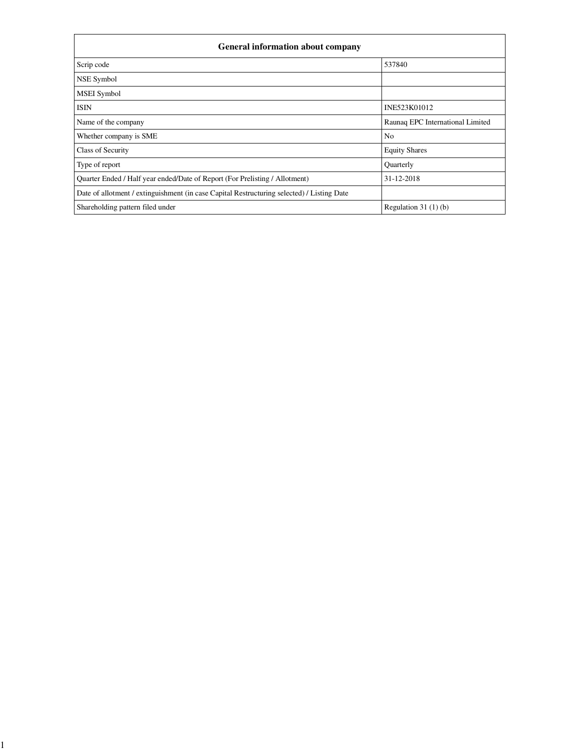| <b>General information about company</b>                                                   |                                  |  |  |  |  |
|--------------------------------------------------------------------------------------------|----------------------------------|--|--|--|--|
| Scrip code                                                                                 | 537840                           |  |  |  |  |
| NSE Symbol                                                                                 |                                  |  |  |  |  |
| <b>MSEI</b> Symbol                                                                         |                                  |  |  |  |  |
| <b>ISIN</b>                                                                                | INE523K01012                     |  |  |  |  |
| Name of the company                                                                        | Raunaq EPC International Limited |  |  |  |  |
| Whether company is SME                                                                     | N <sub>o</sub>                   |  |  |  |  |
| Class of Security                                                                          | <b>Equity Shares</b>             |  |  |  |  |
| Type of report                                                                             | <b>Ouarterly</b>                 |  |  |  |  |
| Quarter Ended / Half year ended/Date of Report (For Prelisting / Allotment)                | 31-12-2018                       |  |  |  |  |
| Date of allotment / extinguishment (in case Capital Restructuring selected) / Listing Date |                                  |  |  |  |  |
| Shareholding pattern filed under                                                           | Regulation $31(1)(b)$            |  |  |  |  |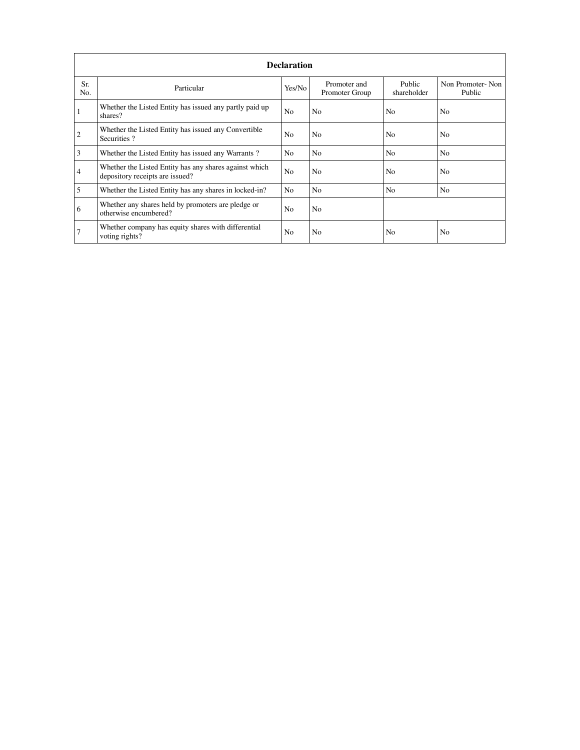|                | <b>Declaration</b>                                                                        |                |                                |                       |                            |  |  |  |  |
|----------------|-------------------------------------------------------------------------------------------|----------------|--------------------------------|-----------------------|----------------------------|--|--|--|--|
| Sr.<br>No.     | Particular                                                                                | Yes/No         | Promoter and<br>Promoter Group | Public<br>shareholder | Non Promoter-Non<br>Public |  |  |  |  |
|                | Whether the Listed Entity has issued any partly paid up<br>shares?                        | N <sub>o</sub> | N <sub>o</sub>                 | N <sub>o</sub>        | N <sub>0</sub>             |  |  |  |  |
| $\overline{c}$ | Whether the Listed Entity has issued any Convertible<br>Securities?                       | N <sub>o</sub> | N <sub>0</sub>                 | N <sub>0</sub>        | No                         |  |  |  |  |
| 3              | Whether the Listed Entity has issued any Warrants?                                        | N <sub>o</sub> | N <sub>o</sub>                 | N <sub>0</sub>        | N <sub>o</sub>             |  |  |  |  |
| $\overline{4}$ | Whether the Listed Entity has any shares against which<br>depository receipts are issued? | N <sub>o</sub> | N <sub>o</sub>                 | N <sub>o</sub>        | N <sub>o</sub>             |  |  |  |  |
| 5              | Whether the Listed Entity has any shares in locked-in?                                    | N <sub>o</sub> | N <sub>o</sub>                 | N <sub>o</sub>        | N <sub>o</sub>             |  |  |  |  |
| 6              | Whether any shares held by promoters are pledge or<br>otherwise encumbered?               | N <sub>o</sub> | N <sub>o</sub>                 |                       |                            |  |  |  |  |
|                | Whether company has equity shares with differential<br>voting rights?                     | N <sub>0</sub> | N <sub>o</sub>                 | No                    | No                         |  |  |  |  |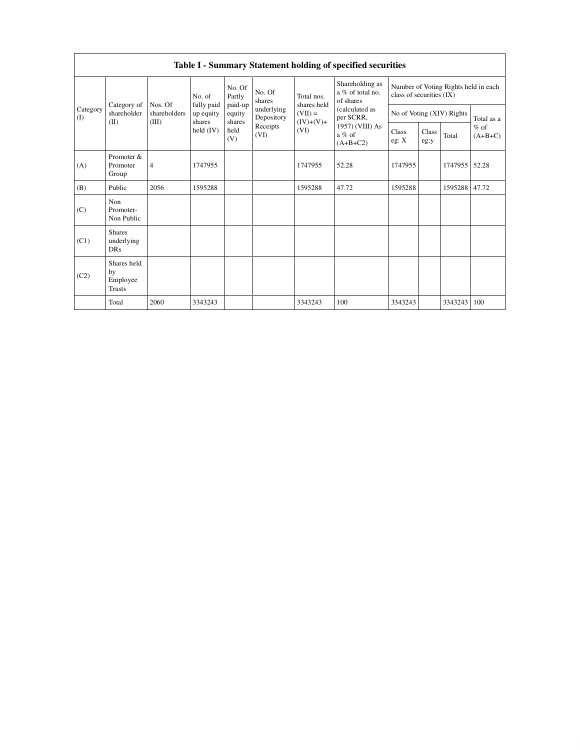|                 |                                                |                         |                      |                             |                                                                  |                                                               | Table I - Summary Statement holding of specified securities                                                                  |                                                                  |               |                           |                     |
|-----------------|------------------------------------------------|-------------------------|----------------------|-----------------------------|------------------------------------------------------------------|---------------------------------------------------------------|------------------------------------------------------------------------------------------------------------------------------|------------------------------------------------------------------|---------------|---------------------------|---------------------|
|                 |                                                |                         | No. of<br>fully paid | No. Of<br>Partly            | No. Of<br>shares<br>underlying<br>Depository<br>Receipts<br>(VI) | Total nos.<br>shares held<br>$(VII) =$<br>$(IV)+(V)+$<br>(VI) | Shareholding as<br>a % of total no.<br>of shares<br>(calculated as<br>per SCRR,<br>1957) (VIII) As<br>$a\%$ of<br>$(A+B+C2)$ | Number of Voting Rights held in each<br>class of securities (IX) |               |                           |                     |
| Category<br>(I) | Category of<br>shareholder                     | Nos. Of<br>shareholders | up equity<br>shares  | paid-up<br>equity<br>shares |                                                                  |                                                               |                                                                                                                              |                                                                  |               | No of Voting (XIV) Rights | Total as a          |
| (II)            |                                                | (III)                   | held $(IV)$          | held<br>(V)                 |                                                                  |                                                               |                                                                                                                              | Class<br>eg: X                                                   | Class<br>eg:y | Total                     | $%$ of<br>$(A+B+C)$ |
| (A)             | Promoter &<br>Promoter<br>Group                | $\overline{4}$          | 1747955              |                             |                                                                  | 1747955                                                       | 52.28                                                                                                                        | 1747955                                                          |               | 1747955                   | 52.28               |
| (B)             | Public                                         | 2056                    | 1595288              |                             |                                                                  | 1595288                                                       | 47.72                                                                                                                        | 1595288                                                          |               | 1595288                   | 47.72               |
| (C)             | Non<br>Promoter-<br>Non Public                 |                         |                      |                             |                                                                  |                                                               |                                                                                                                              |                                                                  |               |                           |                     |
| (C1)            | <b>Shares</b><br>underlying<br><b>DRs</b>      |                         |                      |                             |                                                                  |                                                               |                                                                                                                              |                                                                  |               |                           |                     |
| (C2)            | Shares held<br>by<br>Employee<br><b>Trusts</b> |                         |                      |                             |                                                                  |                                                               |                                                                                                                              |                                                                  |               |                           |                     |
|                 | Total                                          | 2060                    | 3343243              |                             |                                                                  | 3343243                                                       | 100                                                                                                                          | 3343243                                                          |               | 3343243                   | 100                 |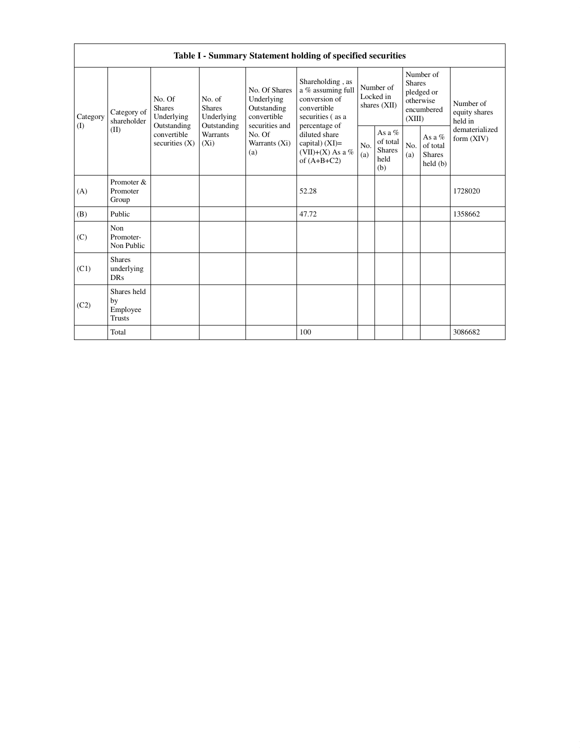|                 | Table I - Summary Statement holding of specified securities                  |                                                               |                                                      |                                                                             |                                                                                                            |                                                      |            |                                                                               |                                |                                       |
|-----------------|------------------------------------------------------------------------------|---------------------------------------------------------------|------------------------------------------------------|-----------------------------------------------------------------------------|------------------------------------------------------------------------------------------------------------|------------------------------------------------------|------------|-------------------------------------------------------------------------------|--------------------------------|---------------------------------------|
| Category<br>(1) | No. Of<br><b>Shares</b><br>Category of<br>shareholder<br>Outstanding<br>(II) | Underlying                                                    | No. of<br><b>Shares</b><br>Underlying<br>Outstanding | No. Of Shares<br>Underlying<br>Outstanding<br>convertible<br>securities and | Shareholding, as<br>a % assuming full<br>conversion of<br>convertible<br>securities (as a<br>percentage of | Number of<br>Locked in<br>shares (XII)               |            | Number of<br><b>Shares</b><br>pledged or<br>otherwise<br>encumbered<br>(XIII) |                                | Number of<br>equity shares<br>held in |
|                 |                                                                              | <b>Warrants</b><br>convertible<br>securities $(X)$<br>$(X_i)$ | No. Of<br>Warrants (Xi)<br>(a)                       | diluted share<br>capital) $(XI)=$<br>(VII)+(X) As a %<br>of $(A+B+C2)$      | N <sub>0</sub><br>(a)                                                                                      | As a $%$<br>of total<br><b>Shares</b><br>held<br>(b) | No.<br>(a) | As a $%$<br>of total<br><b>Shares</b><br>held(b)                              | dematerialized<br>form $(XIV)$ |                                       |
| (A)             | Promoter &<br>Promoter<br>Group                                              |                                                               |                                                      |                                                                             | 52.28                                                                                                      |                                                      |            |                                                                               |                                | 1728020                               |
| (B)             | Public                                                                       |                                                               |                                                      |                                                                             | 47.72                                                                                                      |                                                      |            |                                                                               |                                | 1358662                               |
| (C)             | Non<br>Promoter-<br>Non Public                                               |                                                               |                                                      |                                                                             |                                                                                                            |                                                      |            |                                                                               |                                |                                       |
| (C1)            | <b>Shares</b><br>underlying<br><b>DRs</b>                                    |                                                               |                                                      |                                                                             |                                                                                                            |                                                      |            |                                                                               |                                |                                       |
| (C2)            | Shares held<br>by<br>Employee<br><b>Trusts</b>                               |                                                               |                                                      |                                                                             |                                                                                                            |                                                      |            |                                                                               |                                |                                       |
|                 | Total                                                                        |                                                               |                                                      |                                                                             | 100                                                                                                        |                                                      |            |                                                                               |                                | 3086682                               |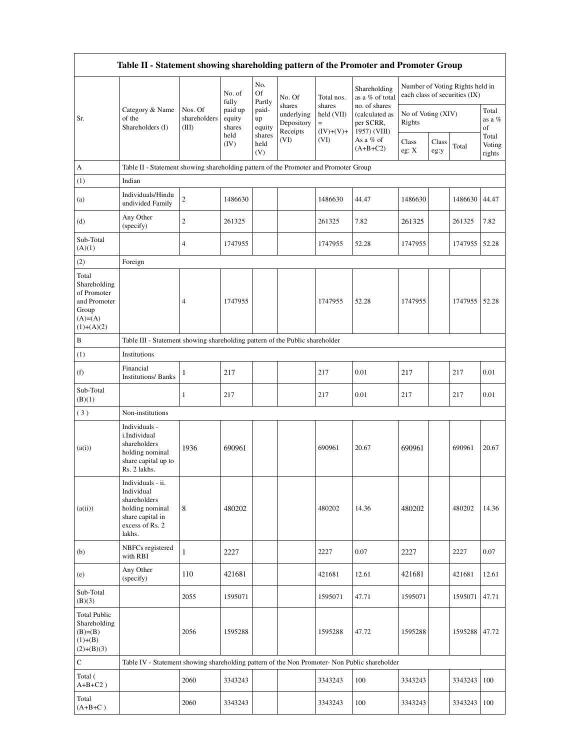|                                                                                           | Table II - Statement showing shareholding pattern of the Promoter and Promoter Group                                |                                  |                             |                       |                                                |                                     |                                                              |                              |               |                                                                  |                           |
|-------------------------------------------------------------------------------------------|---------------------------------------------------------------------------------------------------------------------|----------------------------------|-----------------------------|-----------------------|------------------------------------------------|-------------------------------------|--------------------------------------------------------------|------------------------------|---------------|------------------------------------------------------------------|---------------------------|
|                                                                                           |                                                                                                                     |                                  | No. of<br>fully             | No.<br>Of<br>Partly   | No. Of                                         | Total nos.                          | Shareholding<br>as a % of total                              |                              |               | Number of Voting Rights held in<br>each class of securities (IX) |                           |
| Sr.                                                                                       | Category & Name<br>of the<br>Shareholders (I)                                                                       | Nos. Of<br>shareholders<br>(III) | paid up<br>equity<br>shares | paid-<br>up<br>equity | shares<br>underlying<br>Depository<br>Receipts | shares<br>held (VII)<br>$(IV)+(V)+$ | no. of shares<br>(calculated as<br>per SCRR,<br>1957) (VIII) | No of Voting (XIV)<br>Rights |               |                                                                  | Total<br>as a %<br>of     |
|                                                                                           |                                                                                                                     |                                  | held<br>(IV)                | shares<br>held<br>(V) | (VI)                                           | (VI)                                | As a % of<br>$(A+B+C2)$                                      | Class<br>eg: X               | Class<br>eg:y | Total                                                            | Total<br>Voting<br>rights |
| А                                                                                         | Table II - Statement showing shareholding pattern of the Promoter and Promoter Group                                |                                  |                             |                       |                                                |                                     |                                                              |                              |               |                                                                  |                           |
| (1)                                                                                       | Indian                                                                                                              |                                  |                             |                       |                                                |                                     |                                                              |                              |               |                                                                  |                           |
| (a)                                                                                       | Individuals/Hindu<br>undivided Family                                                                               | $\sqrt{2}$                       | 1486630                     |                       |                                                | 1486630                             | 44.47                                                        | 1486630                      |               | 1486630                                                          | 44.47                     |
| (d)                                                                                       | Any Other<br>(specify)                                                                                              | $\overline{2}$                   | 261325                      |                       |                                                | 261325                              | 7.82                                                         | 261325                       |               | 261325                                                           | 7.82                      |
| Sub-Total<br>(A)(1)                                                                       |                                                                                                                     | $\overline{4}$                   | 1747955                     |                       |                                                | 1747955                             | 52.28                                                        | 1747955                      |               | 1747955                                                          | 52.28                     |
| (2)                                                                                       | Foreign                                                                                                             |                                  |                             |                       |                                                |                                     |                                                              |                              |               |                                                                  |                           |
| Total<br>Shareholding<br>of Promoter<br>and Promoter<br>Group<br>$(A)=A)$<br>$(1)+(A)(2)$ |                                                                                                                     | $\overline{4}$                   | 1747955                     |                       |                                                | 1747955                             | 52.28                                                        | 1747955                      |               | 1747955                                                          | 52.28                     |
| B                                                                                         | Table III - Statement showing shareholding pattern of the Public shareholder                                        |                                  |                             |                       |                                                |                                     |                                                              |                              |               |                                                                  |                           |
| (1)                                                                                       | Institutions                                                                                                        |                                  |                             |                       |                                                |                                     |                                                              |                              |               |                                                                  |                           |
| (f)                                                                                       | Financial<br><b>Institutions/ Banks</b>                                                                             | 1                                | 217                         |                       |                                                | 217                                 | 0.01                                                         | 217                          |               | 217                                                              | 0.01                      |
| Sub-Total<br>(B)(1)                                                                       |                                                                                                                     | 1                                | 217                         |                       |                                                | 217                                 | 0.01                                                         | 217                          |               | 217                                                              | 0.01                      |
| (3)                                                                                       | Non-institutions                                                                                                    |                                  |                             |                       |                                                |                                     |                                                              |                              |               |                                                                  |                           |
| (a(i))                                                                                    | Individuals -<br>i.Individual<br>shareholders<br>holding nominal<br>share capital up to<br>Rs. 2 lakhs.             | 1936                             | 690961                      |                       |                                                | 690961                              | 20.67                                                        | 690961                       |               | 690961                                                           | 20.67                     |
| (a(ii))                                                                                   | Individuals - ii.<br>Individual<br>shareholders<br>holding nominal<br>share capital in<br>excess of Rs. 2<br>lakhs. | 8                                | 480202                      |                       |                                                | 480202                              | 14.36                                                        | 480202                       |               | 480202                                                           | 14.36                     |
| (b)                                                                                       | NBFCs registered<br>with RBI                                                                                        | $\mathbf{1}$                     | 2227                        |                       |                                                | 2227                                | 0.07                                                         | 2227                         |               | 2227                                                             | 0.07                      |
| (e)                                                                                       | Any Other<br>(specify)                                                                                              | 110                              | 421681                      |                       |                                                | 421681                              | 12.61                                                        | 421681                       |               | 421681                                                           | 12.61                     |
| Sub-Total<br>(B)(3)                                                                       |                                                                                                                     | 2055                             | 1595071                     |                       |                                                | 1595071                             | 47.71                                                        | 1595071                      |               | 1595071                                                          | 47.71                     |
| <b>Total Public</b><br>Shareholding<br>$(B)= (B)$<br>$(1)+(B)$<br>$(2)+(B)(3)$            |                                                                                                                     | 2056                             | 1595288                     |                       |                                                | 1595288                             | 47.72                                                        | 1595288                      |               | 1595288                                                          | 47.72                     |
| $\mathbf C$                                                                               | Table IV - Statement showing shareholding pattern of the Non Promoter- Non Public shareholder                       |                                  |                             |                       |                                                |                                     |                                                              |                              |               |                                                                  |                           |
| Total (<br>$A+B+C2$ )                                                                     |                                                                                                                     | 2060                             | 3343243                     |                       |                                                | 3343243                             | 100                                                          | 3343243                      |               | 3343243                                                          | 100                       |
| Total<br>$(A+B+C)$                                                                        |                                                                                                                     | 2060                             | 3343243                     |                       |                                                | 3343243                             | 100                                                          | 3343243                      |               | 3343243                                                          | 100                       |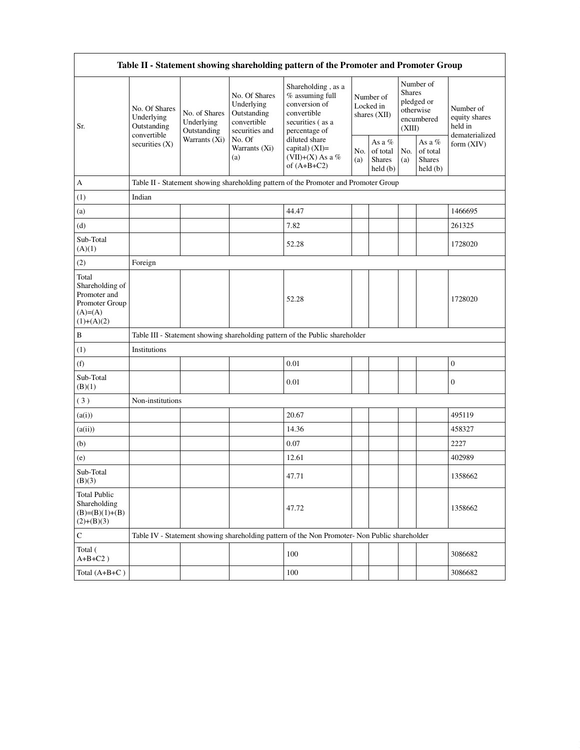| Table II - Statement showing shareholding pattern of the Promoter and Promoter Group     |                                            |                                                             |                                                                                                               |                                                                                                                                                                                    |                                        |                                         |                                                                               |                                                |                                       |
|------------------------------------------------------------------------------------------|--------------------------------------------|-------------------------------------------------------------|---------------------------------------------------------------------------------------------------------------|------------------------------------------------------------------------------------------------------------------------------------------------------------------------------------|----------------------------------------|-----------------------------------------|-------------------------------------------------------------------------------|------------------------------------------------|---------------------------------------|
| Sr.                                                                                      | No. Of Shares<br>Underlying<br>Outstanding | No. of Shares<br>Underlying<br>Outstanding<br>Warrants (Xi) | No. Of Shares<br>Underlying<br>Outstanding<br>convertible<br>securities and<br>No. Of<br>Warrants (Xi)<br>(a) | Shareholding, as a<br>% assuming full<br>conversion of<br>convertible<br>securities (as a<br>percentage of<br>diluted share<br>capital) (XI)=<br>(VII)+(X) As a %<br>of $(A+B+C2)$ | Number of<br>Locked in<br>shares (XII) |                                         | Number of<br><b>Shares</b><br>pledged or<br>otherwise<br>encumbered<br>(XIII) |                                                | Number of<br>equity shares<br>held in |
|                                                                                          | convertible<br>securities $(X)$            |                                                             |                                                                                                               |                                                                                                                                                                                    | No.<br>(a)                             | As a %<br>of total<br>Shares<br>held(b) | No.<br>(a)                                                                    | As a %<br>of total<br><b>Shares</b><br>held(b) | dematerialized<br>form $(XIV)$        |
| A                                                                                        |                                            |                                                             |                                                                                                               | Table II - Statement showing shareholding pattern of the Promoter and Promoter Group                                                                                               |                                        |                                         |                                                                               |                                                |                                       |
| (1)                                                                                      | Indian                                     |                                                             |                                                                                                               |                                                                                                                                                                                    |                                        |                                         |                                                                               |                                                |                                       |
| (a)                                                                                      |                                            |                                                             |                                                                                                               | 44.47                                                                                                                                                                              |                                        |                                         |                                                                               |                                                | 1466695                               |
| (d)                                                                                      |                                            |                                                             |                                                                                                               | 7.82                                                                                                                                                                               |                                        |                                         |                                                                               |                                                | 261325                                |
| Sub-Total<br>(A)(1)                                                                      |                                            |                                                             |                                                                                                               | 52.28                                                                                                                                                                              |                                        |                                         |                                                                               |                                                | 1728020                               |
| (2)                                                                                      | Foreign                                    |                                                             |                                                                                                               |                                                                                                                                                                                    |                                        |                                         |                                                                               |                                                |                                       |
| Total<br>Shareholding of<br>Promoter and<br>Promoter Group<br>$(A)= (A)$<br>$(1)+(A)(2)$ |                                            |                                                             |                                                                                                               | 52.28                                                                                                                                                                              |                                        |                                         |                                                                               |                                                | 1728020                               |
| $\, {\bf B}$                                                                             |                                            |                                                             |                                                                                                               | Table III - Statement showing shareholding pattern of the Public shareholder                                                                                                       |                                        |                                         |                                                                               |                                                |                                       |
| (1)                                                                                      | Institutions                               |                                                             |                                                                                                               |                                                                                                                                                                                    |                                        |                                         |                                                                               |                                                |                                       |
| (f)                                                                                      |                                            |                                                             |                                                                                                               | 0.01                                                                                                                                                                               |                                        |                                         |                                                                               |                                                | $\boldsymbol{0}$                      |
| Sub-Total<br>(B)(1)                                                                      |                                            |                                                             |                                                                                                               | 0.01                                                                                                                                                                               |                                        |                                         |                                                                               |                                                | $\boldsymbol{0}$                      |
| (3)                                                                                      | Non-institutions                           |                                                             |                                                                                                               |                                                                                                                                                                                    |                                        |                                         |                                                                               |                                                |                                       |
| (a(i))                                                                                   |                                            |                                                             |                                                                                                               | 20.67                                                                                                                                                                              |                                        |                                         |                                                                               |                                                | 495119                                |
| (a(ii))                                                                                  |                                            |                                                             |                                                                                                               | 14.36                                                                                                                                                                              |                                        |                                         |                                                                               |                                                | 458327                                |
| (b)                                                                                      |                                            |                                                             |                                                                                                               | 0.07                                                                                                                                                                               |                                        |                                         |                                                                               |                                                | 2227                                  |
| (e)                                                                                      |                                            |                                                             |                                                                                                               | 12.61                                                                                                                                                                              |                                        |                                         |                                                                               |                                                | 402989                                |
| Sub-Total<br>(B)(3)                                                                      |                                            |                                                             |                                                                                                               | 47.71                                                                                                                                                                              |                                        |                                         |                                                                               |                                                | 1358662                               |
| <b>Total Public</b><br>Shareholding<br>$(B)=(B)(1)+(B)$<br>$(2)+(B)(3)$                  |                                            |                                                             |                                                                                                               | 47.72                                                                                                                                                                              |                                        |                                         |                                                                               |                                                | 1358662                               |
| ${\bf C}$                                                                                |                                            |                                                             |                                                                                                               | Table IV - Statement showing shareholding pattern of the Non Promoter- Non Public shareholder                                                                                      |                                        |                                         |                                                                               |                                                |                                       |
| Total (<br>$A+B+C2$ )                                                                    |                                            |                                                             |                                                                                                               | 100                                                                                                                                                                                |                                        |                                         |                                                                               |                                                | 3086682                               |
| Total $(A+B+C)$                                                                          |                                            |                                                             |                                                                                                               | 100                                                                                                                                                                                |                                        |                                         |                                                                               |                                                | 3086682                               |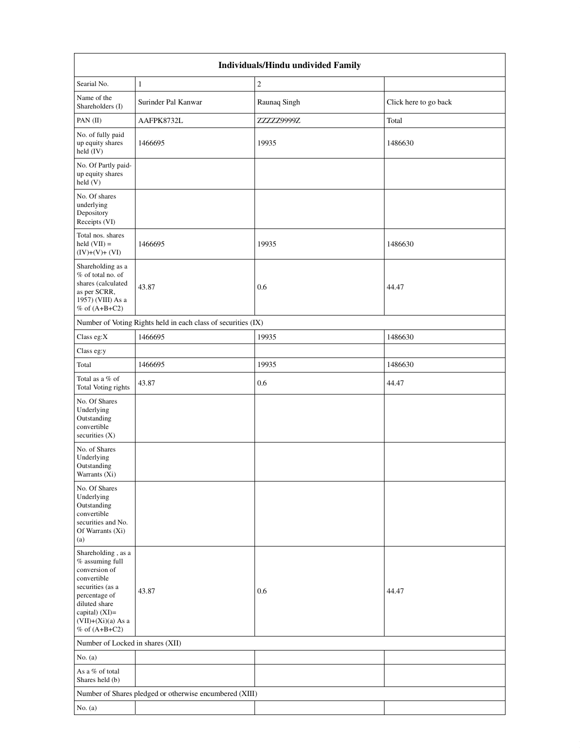|                                                                                                                                                                                            | Individuals/Hindu undivided Family                            |                |                       |  |  |  |  |  |
|--------------------------------------------------------------------------------------------------------------------------------------------------------------------------------------------|---------------------------------------------------------------|----------------|-----------------------|--|--|--|--|--|
| Searial No.                                                                                                                                                                                | 1                                                             | $\mathfrak{2}$ |                       |  |  |  |  |  |
| Name of the<br>Shareholders (I)                                                                                                                                                            | Surinder Pal Kanwar                                           | Raunaq Singh   | Click here to go back |  |  |  |  |  |
| PAN (II)                                                                                                                                                                                   | AAFPK8732L                                                    | ZZZZZ9999Z     | Total                 |  |  |  |  |  |
| No. of fully paid<br>up equity shares<br>held (IV)                                                                                                                                         | 1466695                                                       | 19935          | 1486630               |  |  |  |  |  |
| No. Of Partly paid-<br>up equity shares<br>held(V)                                                                                                                                         |                                                               |                |                       |  |  |  |  |  |
| No. Of shares<br>underlying<br>Depository<br>Receipts (VI)                                                                                                                                 |                                                               |                |                       |  |  |  |  |  |
| Total nos. shares<br>held $(VII) =$<br>$(IV)+(V)+(VI)$                                                                                                                                     | 1466695                                                       | 19935          | 1486630               |  |  |  |  |  |
| Shareholding as a<br>% of total no. of<br>shares (calculated<br>as per SCRR,<br>1957) (VIII) As a<br>$%$ of $(A+B+C2)$                                                                     | 43.87                                                         | 0.6            | 44.47                 |  |  |  |  |  |
|                                                                                                                                                                                            | Number of Voting Rights held in each class of securities (IX) |                |                       |  |  |  |  |  |
| Class eg:X                                                                                                                                                                                 | 1466695                                                       | 19935          | 1486630               |  |  |  |  |  |
| Class eg:y                                                                                                                                                                                 |                                                               |                |                       |  |  |  |  |  |
| Total                                                                                                                                                                                      | 1466695                                                       | 19935          | 1486630               |  |  |  |  |  |
| Total as a % of<br>Total Voting rights                                                                                                                                                     | 43.87                                                         | 0.6            | 44.47                 |  |  |  |  |  |
| No. Of Shares<br>Underlying<br>Outstanding<br>convertible<br>securities $(X)$                                                                                                              |                                                               |                |                       |  |  |  |  |  |
| No. of Shares<br>Underlying<br>Outstanding<br>Warrants (Xi)                                                                                                                                |                                                               |                |                       |  |  |  |  |  |
| No. Of Shares<br>Underlying<br>Outstanding<br>convertible<br>securities and No.<br>Of Warrants (Xi)<br>(a)                                                                                 |                                                               |                |                       |  |  |  |  |  |
| Shareholding, as a<br>$%$ assuming full<br>conversion of<br>convertible<br>securities (as a<br>percentage of<br>diluted share<br>capital) (XI)=<br>$(VII)+(Xi)(a)$ As a<br>% of $(A+B+C2)$ | 43.87                                                         | 0.6            | 44.47                 |  |  |  |  |  |
| Number of Locked in shares (XII)                                                                                                                                                           |                                                               |                |                       |  |  |  |  |  |
| No. $(a)$                                                                                                                                                                                  |                                                               |                |                       |  |  |  |  |  |
| As a % of total<br>Shares held (b)                                                                                                                                                         |                                                               |                |                       |  |  |  |  |  |
|                                                                                                                                                                                            | Number of Shares pledged or otherwise encumbered (XIII)       |                |                       |  |  |  |  |  |
| No. $(a)$                                                                                                                                                                                  |                                                               |                |                       |  |  |  |  |  |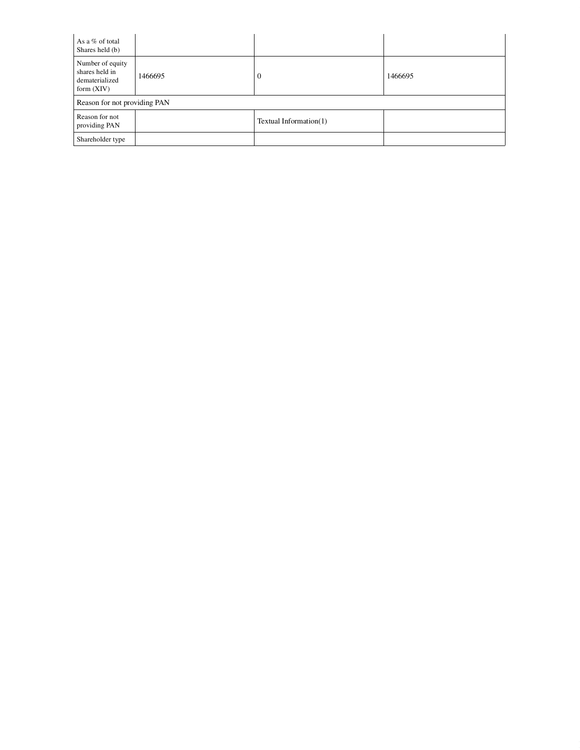| As a % of total<br>Shares held (b)                                   |         |                        |         |
|----------------------------------------------------------------------|---------|------------------------|---------|
| Number of equity<br>shares held in<br>dematerialized<br>form $(XIV)$ | 1466695 | $\theta$               | 1466695 |
| Reason for not providing PAN                                         |         |                        |         |
| Reason for not<br>providing PAN                                      |         | Textual Information(1) |         |
| Shareholder type                                                     |         |                        |         |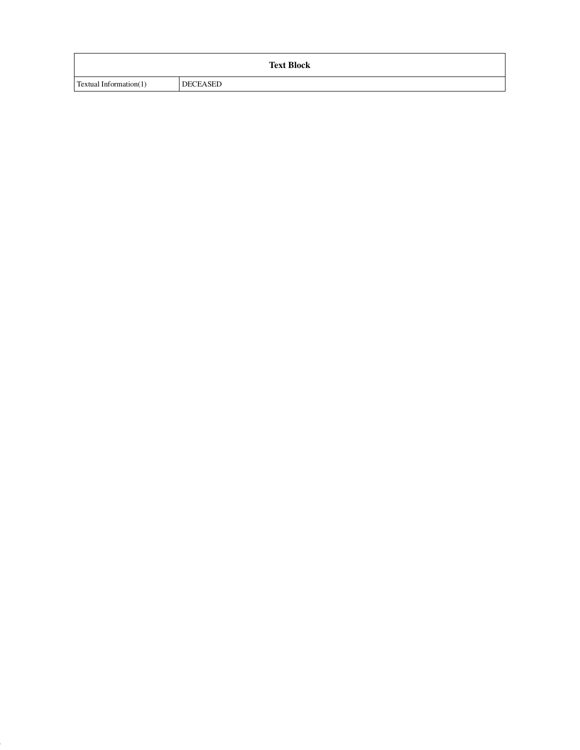|                        | <b>Text Block</b> |
|------------------------|-------------------|
| Textual Information(1) | DECEASED          |

9 of 20 of 20 of 20 of 20 of 20 of 20 of 20 of 20 of 20 of 20 of 20 of 20 of 20 of 20 of 20 of 20 of 20 of 20 o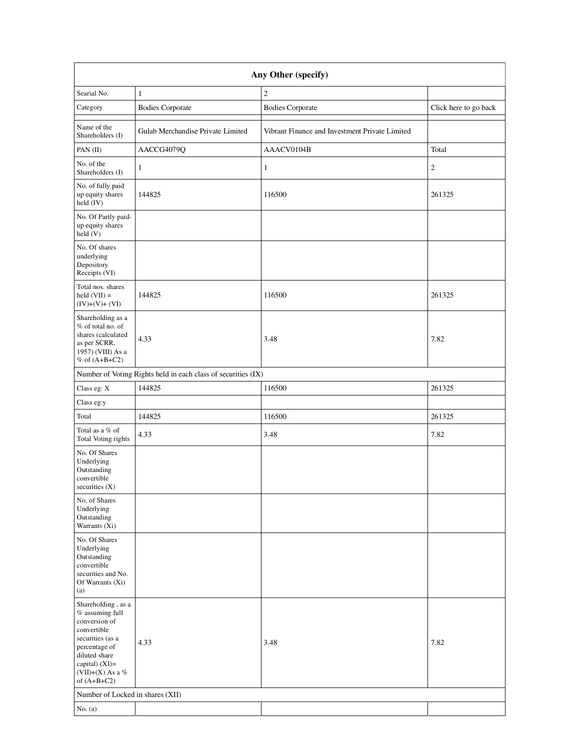|                                                                                                                                                                                        | Any Other (specify)                                           |                                                |                       |  |  |  |  |  |
|----------------------------------------------------------------------------------------------------------------------------------------------------------------------------------------|---------------------------------------------------------------|------------------------------------------------|-----------------------|--|--|--|--|--|
| Searial No.                                                                                                                                                                            | 1                                                             | $\mathfrak{2}$                                 |                       |  |  |  |  |  |
| Category                                                                                                                                                                               | <b>Bodies Corporate</b>                                       | <b>Bodies Corporate</b>                        | Click here to go back |  |  |  |  |  |
| Name of the<br>Shareholders (I)                                                                                                                                                        | Gulab Merchandise Private Limited                             | Vibrant Finance and Investment Private Limited |                       |  |  |  |  |  |
| PAN (II)                                                                                                                                                                               | AACCG4079Q                                                    | AAACV0104B                                     | Total                 |  |  |  |  |  |
| No. of the<br>Shareholders (I)                                                                                                                                                         | 1                                                             | 1                                              | $\mathfrak{2}$        |  |  |  |  |  |
| No. of fully paid<br>up equity shares<br>held (IV)                                                                                                                                     | 144825                                                        | 116500                                         | 261325                |  |  |  |  |  |
| No. Of Partly paid-<br>up equity shares<br>held (V)                                                                                                                                    |                                                               |                                                |                       |  |  |  |  |  |
| No. Of shares<br>underlying<br>Depository<br>Receipts (VI)                                                                                                                             |                                                               |                                                |                       |  |  |  |  |  |
| Total nos. shares<br>$held (VII) =$<br>$(IV)+(V)+(VI)$                                                                                                                                 | 144825                                                        | 116500                                         | 261325                |  |  |  |  |  |
| Shareholding as a<br>% of total no. of<br>shares (calculated<br>as per SCRR,<br>1957) (VIII) As a<br>% of $(A+B+C2)$                                                                   | 4.33                                                          | 3.48                                           | 7.82                  |  |  |  |  |  |
|                                                                                                                                                                                        | Number of Voting Rights held in each class of securities (IX) |                                                |                       |  |  |  |  |  |
| Class eg: X                                                                                                                                                                            | 144825                                                        | 116500                                         | 261325                |  |  |  |  |  |
| Class eg:y                                                                                                                                                                             |                                                               |                                                |                       |  |  |  |  |  |
| Total                                                                                                                                                                                  | 144825                                                        | 116500                                         | 261325                |  |  |  |  |  |
| Total as a % of<br>Total Voting rights                                                                                                                                                 | 4.33                                                          | 3.48                                           | 7.82                  |  |  |  |  |  |
| No. Of Shares<br>Underlying<br>Outstanding<br>convertible<br>securities (X)                                                                                                            |                                                               |                                                |                       |  |  |  |  |  |
| No. of Shares<br>Underlying<br>Outstanding<br>Warrants (Xi)                                                                                                                            |                                                               |                                                |                       |  |  |  |  |  |
| No. Of Shares<br>Underlying<br>Outstanding<br>convertible<br>securities and No.<br>Of Warrants (Xi)<br>(a)                                                                             |                                                               |                                                |                       |  |  |  |  |  |
| Shareholding, as a<br>$%$ assuming full<br>conversion of<br>convertible<br>securities (as a<br>percentage of<br>diluted share<br>capital) $(XI)=$<br>(VII)+(X) As a %<br>of $(A+B+C2)$ | 4.33                                                          | 3.48                                           | 7.82                  |  |  |  |  |  |
| Number of Locked in shares (XII)                                                                                                                                                       |                                                               |                                                |                       |  |  |  |  |  |
| No. $(a)$                                                                                                                                                                              |                                                               |                                                |                       |  |  |  |  |  |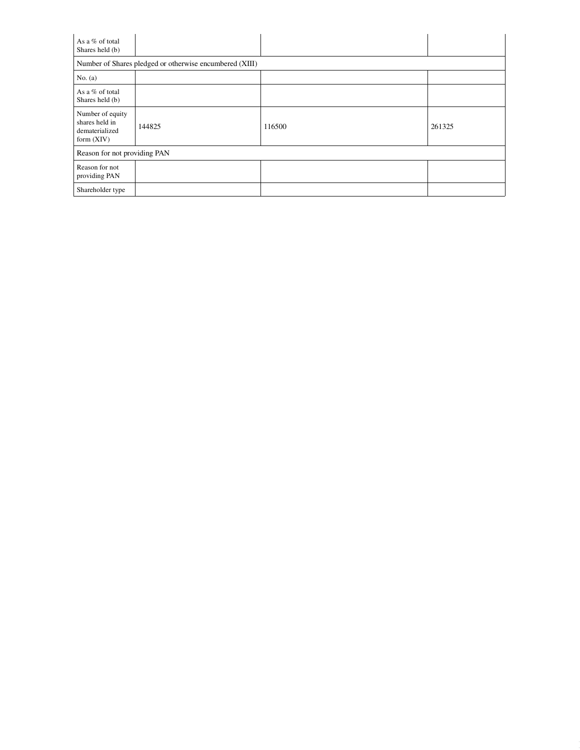| As a % of total<br>Shares held (b)                                   |                                                         |        |        |
|----------------------------------------------------------------------|---------------------------------------------------------|--------|--------|
|                                                                      | Number of Shares pledged or otherwise encumbered (XIII) |        |        |
| No. $(a)$                                                            |                                                         |        |        |
| As a % of total<br>Shares held (b)                                   |                                                         |        |        |
| Number of equity<br>shares held in<br>dematerialized<br>form $(XIV)$ | 144825                                                  | 116500 | 261325 |
| Reason for not providing PAN                                         |                                                         |        |        |
| Reason for not<br>providing PAN                                      |                                                         |        |        |
| Shareholder type                                                     |                                                         |        |        |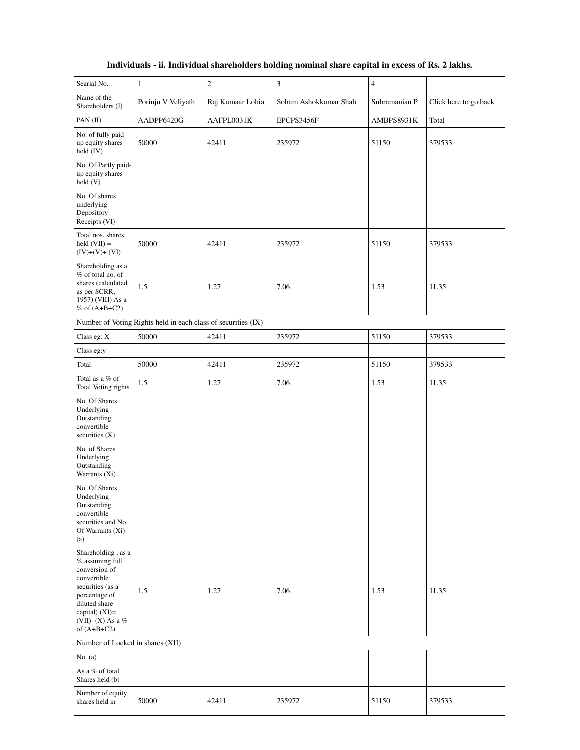|                                                                                                                                                                                         | Individuals - ii. Individual shareholders holding nominal share capital in excess of Rs. 2 lakhs. |                         |                       |                |                       |  |  |  |  |
|-----------------------------------------------------------------------------------------------------------------------------------------------------------------------------------------|---------------------------------------------------------------------------------------------------|-------------------------|-----------------------|----------------|-----------------------|--|--|--|--|
| Searial No.                                                                                                                                                                             | $\mathbf{1}$                                                                                      | $\overline{\mathbf{c}}$ | 3                     | $\overline{4}$ |                       |  |  |  |  |
| Name of the<br>Shareholders (I)                                                                                                                                                         | Porinju V Veliyath                                                                                | Raj Kumaar Lohia        | Soham Ashokkumar Shah | Subramanian P  | Click here to go back |  |  |  |  |
| PAN (II)                                                                                                                                                                                | AADPP6420G                                                                                        | AAFPL0031K              | EPCPS3456F            | AMBPS8931K     | Total                 |  |  |  |  |
| No. of fully paid<br>up equity shares<br>held (IV)                                                                                                                                      | 50000                                                                                             | 42411                   | 235972                | 51150          | 379533                |  |  |  |  |
| No. Of Partly paid-<br>up equity shares<br>held (V)                                                                                                                                     |                                                                                                   |                         |                       |                |                       |  |  |  |  |
| No. Of shares<br>underlying<br>Depository<br>Receipts (VI)                                                                                                                              |                                                                                                   |                         |                       |                |                       |  |  |  |  |
| Total nos. shares<br>held $(VII) =$<br>$(IV)+(V)+(VI)$                                                                                                                                  | 50000                                                                                             | 42411                   | 235972                | 51150          | 379533                |  |  |  |  |
| Shareholding as a<br>% of total no. of<br>shares (calculated<br>as per SCRR,<br>1957) (VIII) As a<br>% of $(A+B+C2)$                                                                    | 1.5                                                                                               | 1.27                    | 7.06                  | 1.53           | 11.35                 |  |  |  |  |
|                                                                                                                                                                                         | Number of Voting Rights held in each class of securities (IX)                                     |                         |                       |                |                       |  |  |  |  |
| Class eg: X                                                                                                                                                                             | 50000                                                                                             | 42411                   | 235972                | 51150          | 379533                |  |  |  |  |
| Class eg:y                                                                                                                                                                              |                                                                                                   |                         |                       |                |                       |  |  |  |  |
| Total                                                                                                                                                                                   | 50000                                                                                             | 42411                   | 235972                | 51150          | 379533                |  |  |  |  |
| Total as a % of<br>Total Voting rights                                                                                                                                                  | 1.5                                                                                               | 1.27                    | 7.06                  | 1.53           | 11.35                 |  |  |  |  |
| No. Of Shares<br>Underlying<br>Outstanding<br>convertible<br>securities $(X)$                                                                                                           |                                                                                                   |                         |                       |                |                       |  |  |  |  |
| No. of Shares<br>Underlying<br>Outstanding<br>Warrants (Xi)                                                                                                                             |                                                                                                   |                         |                       |                |                       |  |  |  |  |
| No. Of Shares<br>Underlying<br>Outstanding<br>convertible<br>securities and No.<br>Of Warrants (Xi)<br>(a)                                                                              |                                                                                                   |                         |                       |                |                       |  |  |  |  |
| Shareholding, as a<br>$%$ assuming full<br>conversion of<br>convertible<br>securities (as a<br>percentage of<br>diluted share<br>capital) $(XI)$ =<br>(VII)+(X) As a %<br>of $(A+B+C2)$ | 1.5                                                                                               | 1.27                    | 7.06                  | 1.53           | 11.35                 |  |  |  |  |
| Number of Locked in shares (XII)                                                                                                                                                        |                                                                                                   |                         |                       |                |                       |  |  |  |  |
| No. $(a)$                                                                                                                                                                               |                                                                                                   |                         |                       |                |                       |  |  |  |  |
| As a % of total<br>Shares held (b)                                                                                                                                                      |                                                                                                   |                         |                       |                |                       |  |  |  |  |
| Number of equity<br>shares held in                                                                                                                                                      | 50000                                                                                             | 42411                   | 235972                | 51150          | 379533                |  |  |  |  |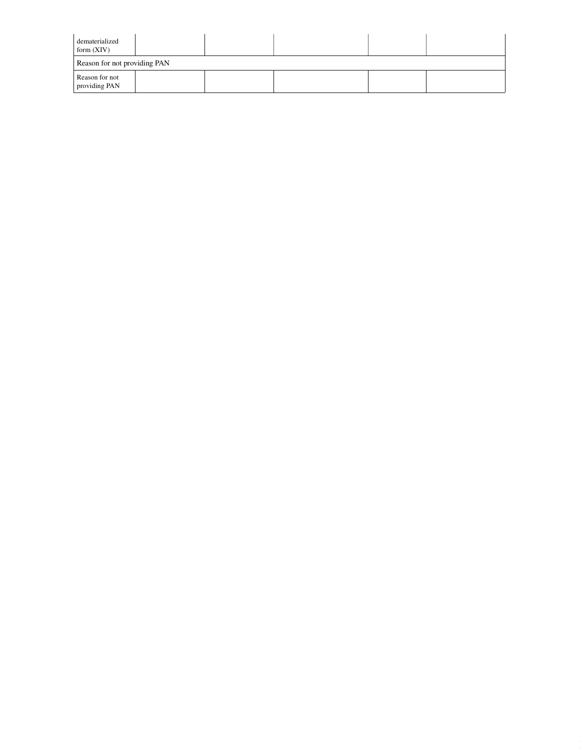| dematerialized<br>form $(XIV)$  |  |  |  |  |
|---------------------------------|--|--|--|--|
| Reason for not providing PAN    |  |  |  |  |
| Reason for not<br>providing PAN |  |  |  |  |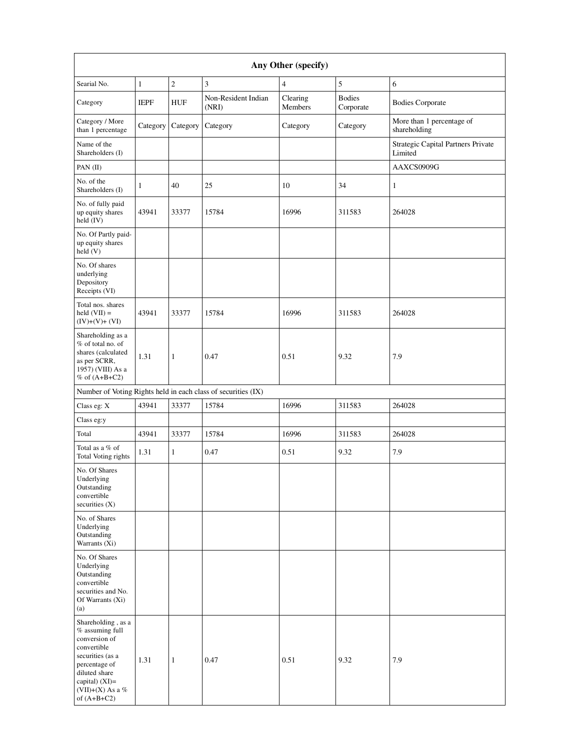| Any Other (specify)                                                                                                                                                                     |              |              |                                                               |                     |                            |                                               |
|-----------------------------------------------------------------------------------------------------------------------------------------------------------------------------------------|--------------|--------------|---------------------------------------------------------------|---------------------|----------------------------|-----------------------------------------------|
| Searial No.                                                                                                                                                                             | $\mathbf{1}$ | $\sqrt{2}$   | 3                                                             | $\overline{4}$      | $\sqrt{5}$                 | 6                                             |
| Category                                                                                                                                                                                | <b>IEPF</b>  | <b>HUF</b>   | Non-Resident Indian<br>(NRI)                                  | Clearing<br>Members | <b>Bodies</b><br>Corporate | <b>Bodies Corporate</b>                       |
| Category / More<br>than 1 percentage                                                                                                                                                    | Category     | Category     | Category                                                      | Category            | Category                   | More than 1 percentage of<br>shareholding     |
| Name of the<br>Shareholders (I)                                                                                                                                                         |              |              |                                                               |                     |                            | Strategic Capital Partners Private<br>Limited |
| PAN (II)                                                                                                                                                                                |              |              |                                                               |                     |                            | AAXCS0909G                                    |
| No. of the<br>Shareholders (I)                                                                                                                                                          | $\mathbf{1}$ | 40           | 25                                                            | 10                  | 34                         | $\mathbf{1}$                                  |
| No. of fully paid<br>up equity shares<br>held (IV)                                                                                                                                      | 43941        | 33377        | 15784                                                         | 16996               | 311583                     | 264028                                        |
| No. Of Partly paid-<br>up equity shares<br>held (V)                                                                                                                                     |              |              |                                                               |                     |                            |                                               |
| No. Of shares<br>underlying<br>Depository<br>Receipts (VI)                                                                                                                              |              |              |                                                               |                     |                            |                                               |
| Total nos. shares<br>held $(VII) =$<br>$(IV)+(V)+(VI)$                                                                                                                                  | 43941        | 33377        | 15784                                                         | 16996               | 311583                     | 264028                                        |
| Shareholding as a<br>% of total no. of<br>shares (calculated<br>as per SCRR,<br>1957) (VIII) As a<br>% of $(A+B+C2)$                                                                    | 1.31         | $\mathbf{1}$ | 0.47                                                          | 0.51                | 9.32                       | 7.9                                           |
|                                                                                                                                                                                         |              |              | Number of Voting Rights held in each class of securities (IX) |                     |                            |                                               |
| Class eg: X                                                                                                                                                                             | 43941        | 33377        | 15784                                                         | 16996               | 311583                     | 264028                                        |
| Class eg:y                                                                                                                                                                              |              |              |                                                               |                     |                            |                                               |
| Total                                                                                                                                                                                   | 43941        | 33377        | 15784                                                         | 16996               | 311583                     | 264028                                        |
| Total as a % of<br>Total Voting rights                                                                                                                                                  | 1.31         | $\mathbf{1}$ | 0.47                                                          | 0.51                | 9.32                       | 7.9                                           |
| No. Of Shares<br>Underlying<br>Outstanding<br>convertible<br>securities $(X)$                                                                                                           |              |              |                                                               |                     |                            |                                               |
| No. of Shares<br>Underlying<br>Outstanding<br>Warrants (Xi)                                                                                                                             |              |              |                                                               |                     |                            |                                               |
| No. Of Shares<br>Underlying<br>Outstanding<br>convertible<br>securities and No.<br>Of Warrants (Xi)<br>(a)                                                                              |              |              |                                                               |                     |                            |                                               |
| Shareholding, as a<br>% assuming full<br>conversion of<br>convertible<br>securities (as a<br>percentage of<br>diluted share<br>capital) $(XI)=$<br>(VII)+(X) As a $\%$<br>of $(A+B+C2)$ | 1.31         | $\mathbf{1}$ | 0.47                                                          | 0.51                | 9.32                       | 7.9                                           |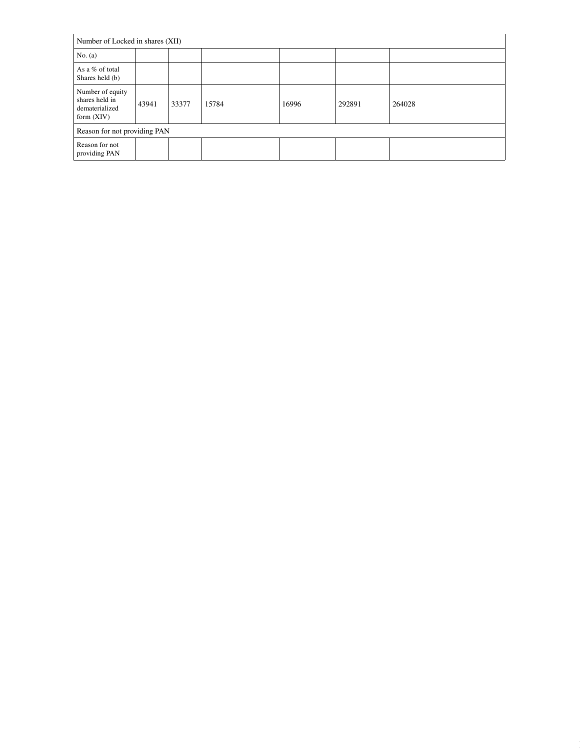| Number of Locked in shares (XII)                                     |       |       |       |       |        |        |
|----------------------------------------------------------------------|-------|-------|-------|-------|--------|--------|
| No. $(a)$                                                            |       |       |       |       |        |        |
| As a % of total<br>Shares held (b)                                   |       |       |       |       |        |        |
| Number of equity<br>shares held in<br>dematerialized<br>form $(XIV)$ | 43941 | 33377 | 15784 | 16996 | 292891 | 264028 |
| Reason for not providing PAN                                         |       |       |       |       |        |        |
| Reason for not<br>providing PAN                                      |       |       |       |       |        |        |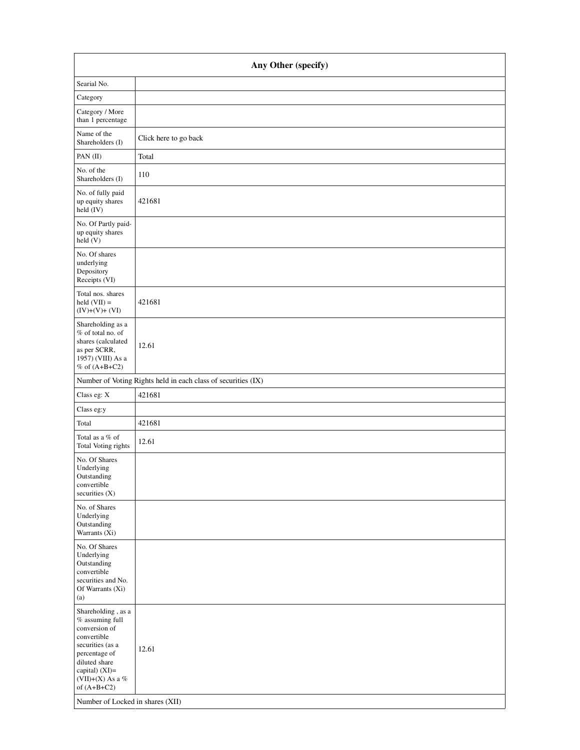| Any Other (specify)                                                                                                                                                                                                        |                                                               |  |  |  |
|----------------------------------------------------------------------------------------------------------------------------------------------------------------------------------------------------------------------------|---------------------------------------------------------------|--|--|--|
| Searial No.                                                                                                                                                                                                                |                                                               |  |  |  |
| Category                                                                                                                                                                                                                   |                                                               |  |  |  |
| Category / More<br>than 1 percentage                                                                                                                                                                                       |                                                               |  |  |  |
| Name of the<br>Shareholders (I)                                                                                                                                                                                            | Click here to go back                                         |  |  |  |
| PAN(II)                                                                                                                                                                                                                    | Total                                                         |  |  |  |
| No. of the<br>Shareholders (I)                                                                                                                                                                                             | 110                                                           |  |  |  |
| No. of fully paid<br>up equity shares<br>held (IV)                                                                                                                                                                         | 421681                                                        |  |  |  |
| No. Of Partly paid-<br>up equity shares<br>held(V)                                                                                                                                                                         |                                                               |  |  |  |
| No. Of shares<br>underlying<br>Depository<br>Receipts (VI)                                                                                                                                                                 |                                                               |  |  |  |
| Total nos. shares<br>$held (VII) =$<br>$(IV)+(V)+(VI)$                                                                                                                                                                     | 421681                                                        |  |  |  |
| Shareholding as a<br>% of total no. of<br>shares (calculated<br>as per SCRR,<br>1957) (VIII) As a<br>% of $(A+B+C2)$                                                                                                       | 12.61                                                         |  |  |  |
|                                                                                                                                                                                                                            | Number of Voting Rights held in each class of securities (IX) |  |  |  |
| Class eg: X                                                                                                                                                                                                                | 421681                                                        |  |  |  |
| Class eg:y                                                                                                                                                                                                                 |                                                               |  |  |  |
| Total                                                                                                                                                                                                                      | 421681                                                        |  |  |  |
| Total as a $\%$ of<br>Total Voting rights                                                                                                                                                                                  | 12.61                                                         |  |  |  |
| No. Of Shares<br>Underlying<br>Outstanding<br>convertible<br>securities $(X)$                                                                                                                                              |                                                               |  |  |  |
| No. of Shares<br>Underlying<br>Outstanding<br>Warrants (Xi)                                                                                                                                                                |                                                               |  |  |  |
| No. Of Shares<br>Underlying<br>Outstanding<br>convertible<br>securities and No.<br>Of Warrants (Xi)<br>(a)                                                                                                                 |                                                               |  |  |  |
| Shareholding, as a<br>$%$ assuming full<br>conversion of<br>convertible<br>securities (as a<br>percentage of<br>diluted share<br>capital) $(XI)=$<br>(VII)+(X) As a %<br>of $(A+B+C2)$<br>Number of Locked in shares (XII) | 12.61                                                         |  |  |  |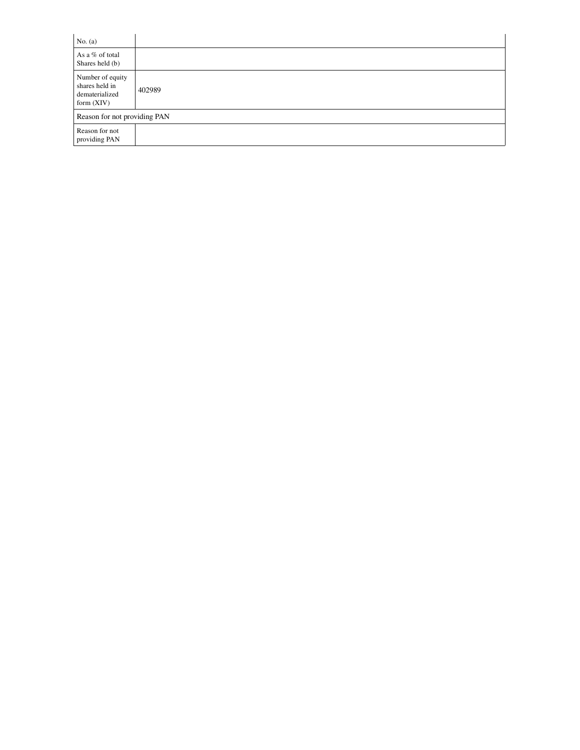| No. $(a)$                                                            |        |
|----------------------------------------------------------------------|--------|
| As a % of total<br>Shares held (b)                                   |        |
| Number of equity<br>shares held in<br>dematerialized<br>form $(XIV)$ | 402989 |
| Reason for not providing PAN                                         |        |
| Reason for not<br>providing PAN                                      |        |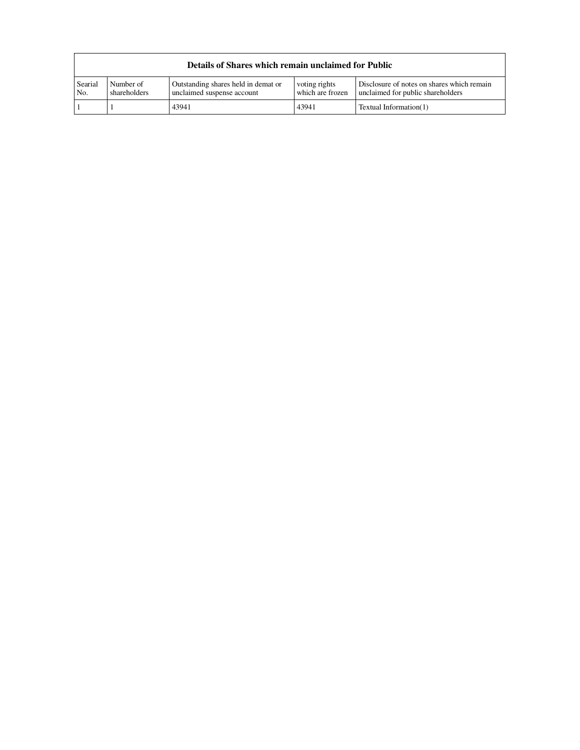|                |                           | Details of Shares which remain unclaimed for Public               |                                   |                                                                                 |
|----------------|---------------------------|-------------------------------------------------------------------|-----------------------------------|---------------------------------------------------------------------------------|
| Searial<br>No. | Number of<br>shareholders | Outstanding shares held in demat or<br>unclaimed suspense account | voting rights<br>which are frozen | Disclosure of notes on shares which remain<br>unclaimed for public shareholders |
|                |                           | 43941                                                             | 43941                             | Textual Information(1)                                                          |